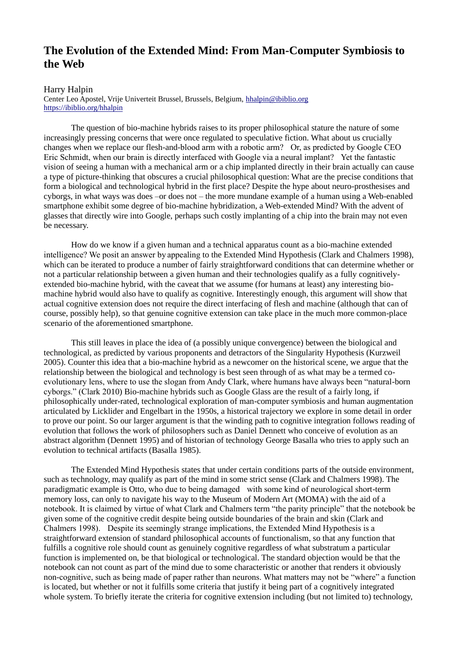## **The Evolution of the Extended Mind: From Man-Computer Symbiosis to the Web**

## Harry Halpin

Center Leo Apostel, Vrije Univerteit Brussel, Brussels, Belgium, [hhalpin@ibiblio.org](mailto:hhalpin@ibiblio.org) <https://ibiblio.org/hhalpin>

The question of bio-machine hybrids raises to its proper philosophical stature the nature of some increasingly pressing concerns that were once regulated to speculative fiction. What about us crucially changes when we replace our flesh-and-blood arm with a robotic arm? Or, as predicted by Google CEO Eric Schmidt, when our brain is directly interfaced with Google via a neural implant? Yet the fantastic vision of seeing a human with a mechanical arm or a chip implanted directly in their brain actually can cause a type of picture-thinking that obscures a crucial philosophical question: What are the precise conditions that form a biological and technological hybrid in the first place? Despite the hype about neuro-prosthesises and cyborgs, in what ways was does –or does not – the more mundane example of a human using a Web-enabled smartphone exhibit some degree of bio-machine hybridization, a Web-extended Mind? With the advent of glasses that directly wire into Google, perhaps such costly implanting of a chip into the brain may not even be necessary.

How do we know if a given human and a technical apparatus count as a bio-machine extended intelligence? We posit an answer by appealing to the Extended Mind Hypothesis (Clark and Chalmers 1998), which can be iterated to produce a number of fairly straightforward conditions that can determine whether or not a particular relationship between a given human and their technologies qualify as a fully cognitivelyextended bio-machine hybrid, with the caveat that we assume (for humans at least) any interesting biomachine hybrid would also have to qualify as cognitive. Interestingly enough, this argument will show that actual cognitive extension does not require the direct interfacing of flesh and machine (although that can of course, possibly help), so that genuine cognitive extension can take place in the much more common-place scenario of the aforementioned smartphone.

This still leaves in place the idea of (a possibly unique convergence) between the biological and technological, as predicted by various proponents and detractors of the Singularity Hypothesis (Kurzweil 2005). Counter this idea that a bio-machine hybrid as a newcomer on the historical scene, we argue that the relationship between the biological and technology is best seen through of as what may be a termed coevolutionary lens, where to use the slogan from Andy Clark, where humans have always been "natural-born cyborgs." (Clark 2010) Bio-machine hybrids such as Google Glass are the result of a fairly long, if philosophically under-rated, technological exploration of man-computer symbiosis and human augmentation articulated by Licklider and Engelbart in the 1950s, a historical trajectory we explore in some detail in order to prove our point. So our larger argument is that the winding path to cognitive integration follows reading of evolution that follows the work of philosophers such as Daniel Dennett who conceive of evolution as an abstract algorithm (Dennett 1995) and of historian of technology George Basalla who tries to apply such an evolution to technical artifacts (Basalla 1985).

The Extended Mind Hypothesis states that under certain conditions parts of the outside environment, such as technology, may qualify as part of the mind in some strict sense (Clark and Chalmers 1998). The paradigmatic example is Otto, who due to being damaged with some kind of neurological short-term memory loss, can only to navigate his way to the Museum of Modern Art (MOMA) with the aid of a notebook. It is claimed by virtue of what Clark and Chalmers term "the parity principle" that the notebook be given some of the cognitive credit despite being outside boundaries of the brain and skin (Clark and Chalmers 1998). Despite its seemingly strange implications, the Extended Mind Hypothesis is a straightforward extension of standard philosophical accounts of functionalism, so that any function that fulfills a cognitive role should count as genuinely cognitive regardless of what substratum a particular function is implemented on, be that biological or technological. The standard objection would be that the notebook can not count as part of the mind due to some characteristic or another that renders it obviously non-cognitive, such as being made of paper rather than neurons. What matters may not be "where" a function is located, but whether or not it fulfills some criteria that justify it being part of a cognitively integrated whole system. To briefly iterate the criteria for cognitive extension including (but not limited to) technology,